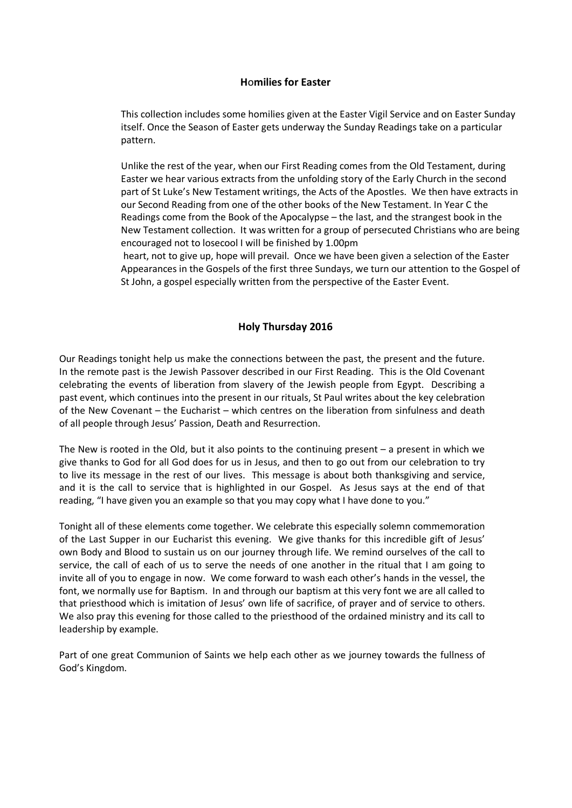#### **H**o**milies for Easter**

This collection includes some homilies given at the Easter Vigil Service and on Easter Sunday itself. Once the Season of Easter gets underway the Sunday Readings take on a particular pattern.

Unlike the rest of the year, when our First Reading comes from the Old Testament, during Easter we hear various extracts from the unfolding story of the Early Church in the second part of St Luke's New Testament writings, the Acts of the Apostles. We then have extracts in our Second Reading from one of the other books of the New Testament. In Year C the Readings come from the Book of the Apocalypse – the last, and the strangest book in the New Testament collection. It was written for a group of persecuted Christians who are being encouraged not to losecool I will be finished by 1.00pm

heart, not to give up, hope will prevail. Once we have been given a selection of the Easter Appearances in the Gospels of the first three Sundays, we turn our attention to the Gospel of St John, a gospel especially written from the perspective of the Easter Event.

## **Holy Thursday 2016**

Our Readings tonight help us make the connections between the past, the present and the future. In the remote past is the Jewish Passover described in our First Reading. This is the Old Covenant celebrating the events of liberation from slavery of the Jewish people from Egypt. Describing a past event, which continues into the present in our rituals, St Paul writes about the key celebration of the New Covenant – the Eucharist – which centres on the liberation from sinfulness and death of all people through Jesus' Passion, Death and Resurrection.

The New is rooted in the Old, but it also points to the continuing present – a present in which we give thanks to God for all God does for us in Jesus, and then to go out from our celebration to try to live its message in the rest of our lives. This message is about both thanksgiving and service, and it is the call to service that is highlighted in our Gospel. As Jesus says at the end of that reading, "I have given you an example so that you may copy what I have done to you."

Tonight all of these elements come together. We celebrate this especially solemn commemoration of the Last Supper in our Eucharist this evening. We give thanks for this incredible gift of Jesus' own Body and Blood to sustain us on our journey through life. We remind ourselves of the call to service, the call of each of us to serve the needs of one another in the ritual that I am going to invite all of you to engage in now. We come forward to wash each other's hands in the vessel, the font, we normally use for Baptism. In and through our baptism at this very font we are all called to that priesthood which is imitation of Jesus' own life of sacrifice, of prayer and of service to others. We also pray this evening for those called to the priesthood of the ordained ministry and its call to leadership by example.

Part of one great Communion of Saints we help each other as we journey towards the fullness of God's Kingdom.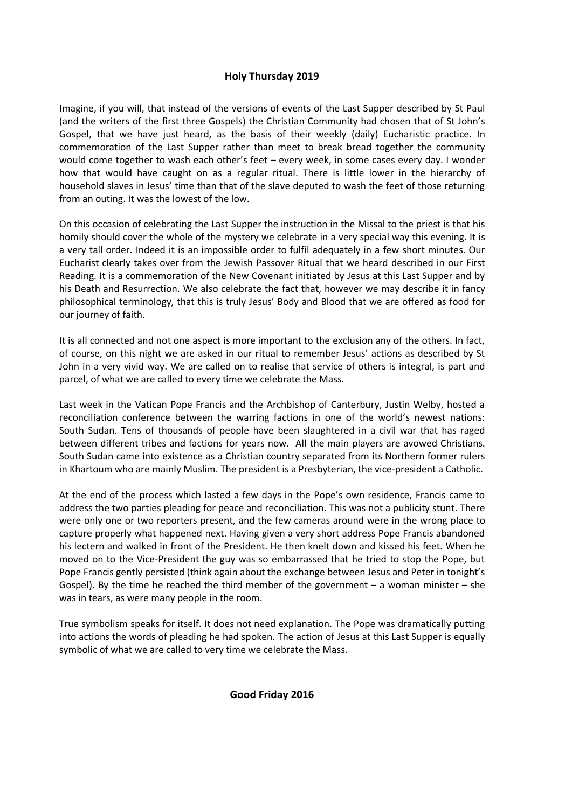## **Holy Thursday 2019**

Imagine, if you will, that instead of the versions of events of the Last Supper described by St Paul (and the writers of the first three Gospels) the Christian Community had chosen that of St John's Gospel, that we have just heard, as the basis of their weekly (daily) Eucharistic practice. In commemoration of the Last Supper rather than meet to break bread together the community would come together to wash each other's feet – every week, in some cases every day. I wonder how that would have caught on as a regular ritual. There is little lower in the hierarchy of household slaves in Jesus' time than that of the slave deputed to wash the feet of those returning from an outing. It was the lowest of the low.

On this occasion of celebrating the Last Supper the instruction in the Missal to the priest is that his homily should cover the whole of the mystery we celebrate in a very special way this evening. It is a very tall order. Indeed it is an impossible order to fulfil adequately in a few short minutes. Our Eucharist clearly takes over from the Jewish Passover Ritual that we heard described in our First Reading. It is a commemoration of the New Covenant initiated by Jesus at this Last Supper and by his Death and Resurrection. We also celebrate the fact that, however we may describe it in fancy philosophical terminology, that this is truly Jesus' Body and Blood that we are offered as food for our journey of faith.

It is all connected and not one aspect is more important to the exclusion any of the others. In fact, of course, on this night we are asked in our ritual to remember Jesus' actions as described by St John in a very vivid way. We are called on to realise that service of others is integral, is part and parcel, of what we are called to every time we celebrate the Mass.

Last week in the Vatican Pope Francis and the Archbishop of Canterbury, Justin Welby, hosted a reconciliation conference between the warring factions in one of the world's newest nations: South Sudan. Tens of thousands of people have been slaughtered in a civil war that has raged between different tribes and factions for years now. All the main players are avowed Christians. South Sudan came into existence as a Christian country separated from its Northern former rulers in Khartoum who are mainly Muslim. The president is a Presbyterian, the vice-president a Catholic.

At the end of the process which lasted a few days in the Pope's own residence, Francis came to address the two parties pleading for peace and reconciliation. This was not a publicity stunt. There were only one or two reporters present, and the few cameras around were in the wrong place to capture properly what happened next. Having given a very short address Pope Francis abandoned his lectern and walked in front of the President. He then knelt down and kissed his feet. When he moved on to the Vice-President the guy was so embarrassed that he tried to stop the Pope, but Pope Francis gently persisted (think again about the exchange between Jesus and Peter in tonight's Gospel). By the time he reached the third member of the government  $-$  a woman minister  $-$  she was in tears, as were many people in the room.

True symbolism speaks for itself. It does not need explanation. The Pope was dramatically putting into actions the words of pleading he had spoken. The action of Jesus at this Last Supper is equally symbolic of what we are called to very time we celebrate the Mass.

## **Good Friday 2016**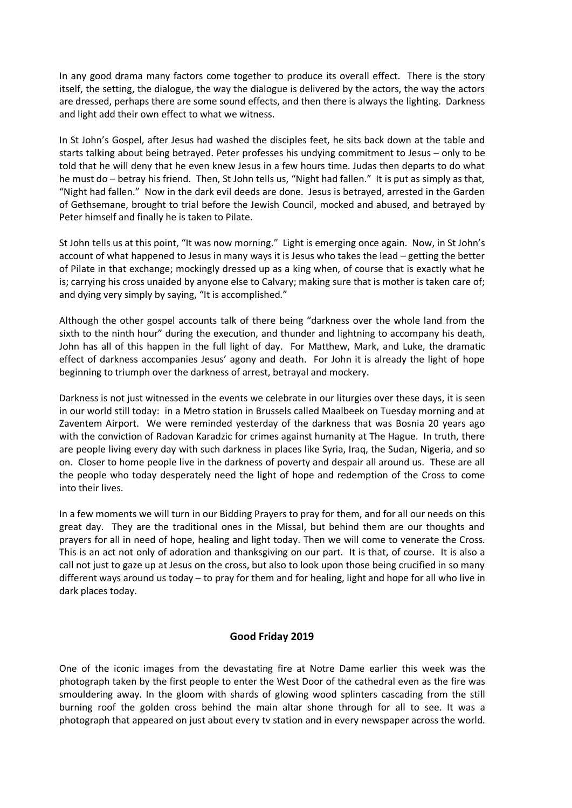In any good drama many factors come together to produce its overall effect. There is the story itself, the setting, the dialogue, the way the dialogue is delivered by the actors, the way the actors are dressed, perhaps there are some sound effects, and then there is always the lighting. Darkness and light add their own effect to what we witness.

In St John's Gospel, after Jesus had washed the disciples feet, he sits back down at the table and starts talking about being betrayed. Peter professes his undying commitment to Jesus – only to be told that he will deny that he even knew Jesus in a few hours time. Judas then departs to do what he must do – betray his friend. Then, St John tells us, "Night had fallen." It is put as simply as that, "Night had fallen." Now in the dark evil deeds are done. Jesus is betrayed, arrested in the Garden of Gethsemane, brought to trial before the Jewish Council, mocked and abused, and betrayed by Peter himself and finally he is taken to Pilate.

St John tells us at this point, "It was now morning." Light is emerging once again. Now, in St John's account of what happened to Jesus in many ways it is Jesus who takes the lead – getting the better of Pilate in that exchange; mockingly dressed up as a king when, of course that is exactly what he is; carrying his cross unaided by anyone else to Calvary; making sure that is mother is taken care of; and dying very simply by saying, "It is accomplished."

Although the other gospel accounts talk of there being "darkness over the whole land from the sixth to the ninth hour" during the execution, and thunder and lightning to accompany his death, John has all of this happen in the full light of day. For Matthew, Mark, and Luke, the dramatic effect of darkness accompanies Jesus' agony and death. For John it is already the light of hope beginning to triumph over the darkness of arrest, betrayal and mockery.

Darkness is not just witnessed in the events we celebrate in our liturgies over these days, it is seen in our world still today: in a Metro station in Brussels called Maalbeek on Tuesday morning and at Zaventem Airport. We were reminded yesterday of the darkness that was Bosnia 20 years ago with the conviction of Radovan Karadzic for crimes against humanity at The Hague. In truth, there are people living every day with such darkness in places like Syria, Iraq, the Sudan, Nigeria, and so on. Closer to home people live in the darkness of poverty and despair all around us. These are all the people who today desperately need the light of hope and redemption of the Cross to come into their lives.

In a few moments we will turn in our Bidding Prayers to pray for them, and for all our needs on this great day. They are the traditional ones in the Missal, but behind them are our thoughts and prayers for all in need of hope, healing and light today. Then we will come to venerate the Cross. This is an act not only of adoration and thanksgiving on our part. It is that, of course. It is also a call not just to gaze up at Jesus on the cross, but also to look upon those being crucified in so many different ways around us today – to pray for them and for healing, light and hope for all who live in dark places today.

#### **Good Friday 2019**

One of the iconic images from the devastating fire at Notre Dame earlier this week was the photograph taken by the first people to enter the West Door of the cathedral even as the fire was smouldering away. In the gloom with shards of glowing wood splinters cascading from the still burning roof the golden cross behind the main altar shone through for all to see. It was a photograph that appeared on just about every tv station and in every newspaper across the world.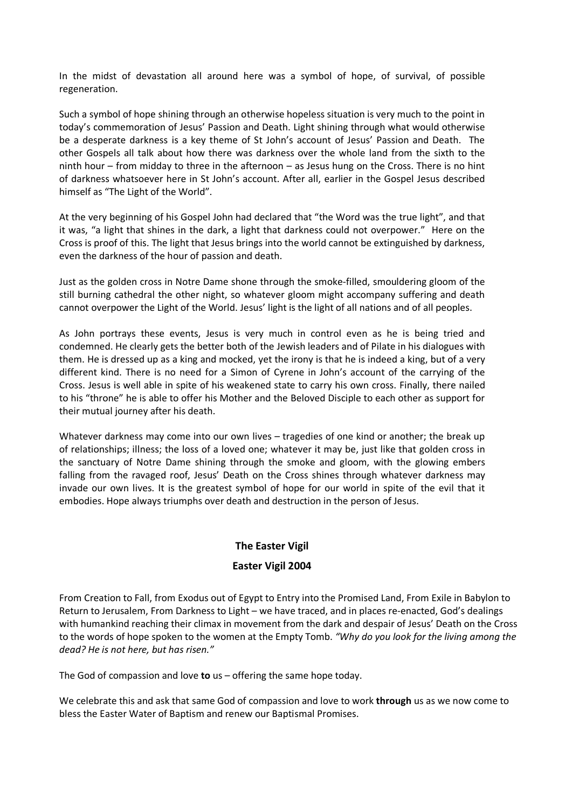In the midst of devastation all around here was a symbol of hope, of survival, of possible regeneration.

Such a symbol of hope shining through an otherwise hopeless situation is very much to the point in today's commemoration of Jesus' Passion and Death. Light shining through what would otherwise be a desperate darkness is a key theme of St John's account of Jesus' Passion and Death. The other Gospels all talk about how there was darkness over the whole land from the sixth to the ninth hour – from midday to three in the afternoon – as Jesus hung on the Cross. There is no hint of darkness whatsoever here in St John's account. After all, earlier in the Gospel Jesus described himself as "The Light of the World".

At the very beginning of his Gospel John had declared that "the Word was the true light", and that it was, "a light that shines in the dark, a light that darkness could not overpower." Here on the Cross is proof of this. The light that Jesus brings into the world cannot be extinguished by darkness, even the darkness of the hour of passion and death.

Just as the golden cross in Notre Dame shone through the smoke-filled, smouldering gloom of the still burning cathedral the other night, so whatever gloom might accompany suffering and death cannot overpower the Light of the World. Jesus' light is the light of all nations and of all peoples.

As John portrays these events, Jesus is very much in control even as he is being tried and condemned. He clearly gets the better both of the Jewish leaders and of Pilate in his dialogues with them. He is dressed up as a king and mocked, yet the irony is that he is indeed a king, but of a very different kind. There is no need for a Simon of Cyrene in John's account of the carrying of the Cross. Jesus is well able in spite of his weakened state to carry his own cross. Finally, there nailed to his "throne" he is able to offer his Mother and the Beloved Disciple to each other as support for their mutual journey after his death.

Whatever darkness may come into our own lives – tragedies of one kind or another; the break up of relationships; illness; the loss of a loved one; whatever it may be, just like that golden cross in the sanctuary of Notre Dame shining through the smoke and gloom, with the glowing embers falling from the ravaged roof, Jesus' Death on the Cross shines through whatever darkness may invade our own lives. It is the greatest symbol of hope for our world in spite of the evil that it embodies. Hope always triumphs over death and destruction in the person of Jesus.

#### **The Easter Vigil**

## **Easter Vigil 2004**

From Creation to Fall, from Exodus out of Egypt to Entry into the Promised Land, From Exile in Babylon to Return to Jerusalem, From Darkness to Light – we have traced, and in places re-enacted, God's dealings with humankind reaching their climax in movement from the dark and despair of Jesus' Death on the Cross to the words of hope spoken to the women at the Empty Tomb. *"Why do you look for the living among the dead? He is not here, but has risen."*

The God of compassion and love **to** us – offering the same hope today.

We celebrate this and ask that same God of compassion and love to work **through** us as we now come to bless the Easter Water of Baptism and renew our Baptismal Promises.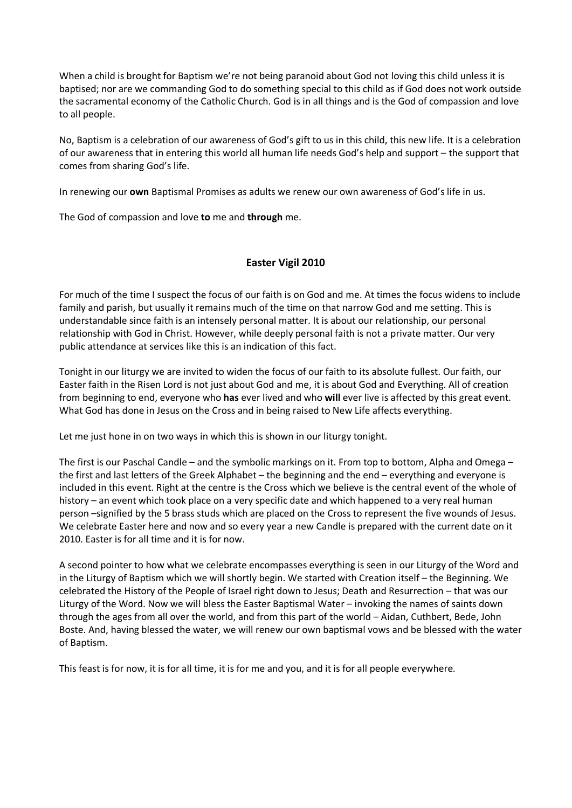When a child is brought for Baptism we're not being paranoid about God not loving this child unless it is baptised; nor are we commanding God to do something special to this child as if God does not work outside the sacramental economy of the Catholic Church. God is in all things and is the God of compassion and love to all people.

No, Baptism is a celebration of our awareness of God's gift to us in this child, this new life. It is a celebration of our awareness that in entering this world all human life needs God's help and support – the support that comes from sharing God's life.

In renewing our **own** Baptismal Promises as adults we renew our own awareness of God's life in us.

The God of compassion and love **to** me and **through** me.

## **Easter Vigil 2010**

For much of the time I suspect the focus of our faith is on God and me. At times the focus widens to include family and parish, but usually it remains much of the time on that narrow God and me setting. This is understandable since faith is an intensely personal matter. It is about our relationship, our personal relationship with God in Christ. However, while deeply personal faith is not a private matter. Our very public attendance at services like this is an indication of this fact.

Tonight in our liturgy we are invited to widen the focus of our faith to its absolute fullest. Our faith, our Easter faith in the Risen Lord is not just about God and me, it is about God and Everything. All of creation from beginning to end, everyone who **has** ever lived and who **will** ever live is affected by this great event. What God has done in Jesus on the Cross and in being raised to New Life affects everything.

Let me just hone in on two ways in which this is shown in our liturgy tonight.

The first is our Paschal Candle – and the symbolic markings on it. From top to bottom, Alpha and Omega – the first and last letters of the Greek Alphabet – the beginning and the end – everything and everyone is included in this event. Right at the centre is the Cross which we believe is the central event of the whole of history – an event which took place on a very specific date and which happened to a very real human person –signified by the 5 brass studs which are placed on the Cross to represent the five wounds of Jesus. We celebrate Easter here and now and so every year a new Candle is prepared with the current date on it 2010. Easter is for all time and it is for now.

A second pointer to how what we celebrate encompasses everything is seen in our Liturgy of the Word and in the Liturgy of Baptism which we will shortly begin. We started with Creation itself – the Beginning. We celebrated the History of the People of Israel right down to Jesus; Death and Resurrection – that was our Liturgy of the Word. Now we will bless the Easter Baptismal Water – invoking the names of saints down through the ages from all over the world, and from this part of the world – Aidan, Cuthbert, Bede, John Boste. And, having blessed the water, we will renew our own baptismal vows and be blessed with the water of Baptism.

This feast is for now, it is for all time, it is for me and you, and it is for all people everywhere.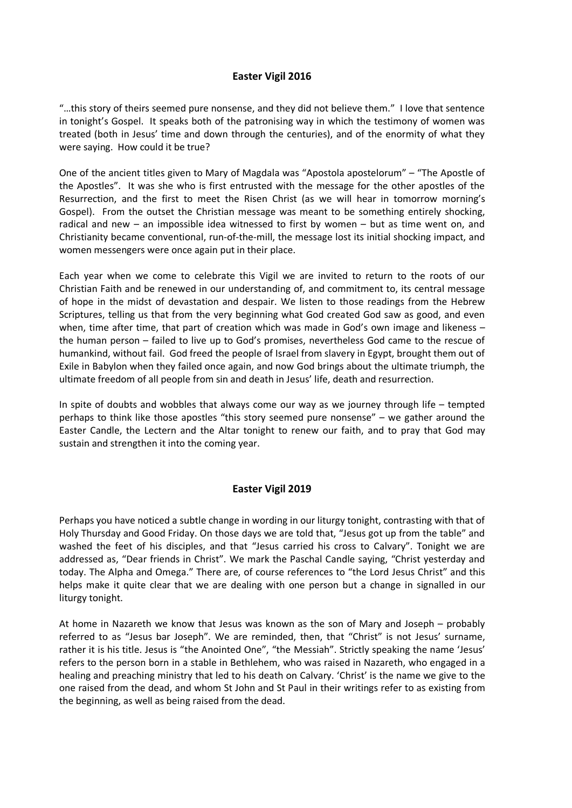## **Easter Vigil 2016**

"…this story of theirs seemed pure nonsense, and they did not believe them." I love that sentence in tonight's Gospel. It speaks both of the patronising way in which the testimony of women was treated (both in Jesus' time and down through the centuries), and of the enormity of what they were saying. How could it be true?

One of the ancient titles given to Mary of Magdala was "Apostola apostelorum" – "The Apostle of the Apostles". It was she who is first entrusted with the message for the other apostles of the Resurrection, and the first to meet the Risen Christ (as we will hear in tomorrow morning's Gospel). From the outset the Christian message was meant to be something entirely shocking, radical and new – an impossible idea witnessed to first by women – but as time went on, and Christianity became conventional, run-of-the-mill, the message lost its initial shocking impact, and women messengers were once again put in their place.

Each year when we come to celebrate this Vigil we are invited to return to the roots of our Christian Faith and be renewed in our understanding of, and commitment to, its central message of hope in the midst of devastation and despair. We listen to those readings from the Hebrew Scriptures, telling us that from the very beginning what God created God saw as good, and even when, time after time, that part of creation which was made in God's own image and likeness – the human person – failed to live up to God's promises, nevertheless God came to the rescue of humankind, without fail. God freed the people of Israel from slavery in Egypt, brought them out of Exile in Babylon when they failed once again, and now God brings about the ultimate triumph, the ultimate freedom of all people from sin and death in Jesus' life, death and resurrection.

In spite of doubts and wobbles that always come our way as we journey through life – tempted perhaps to think like those apostles "this story seemed pure nonsense" – we gather around the Easter Candle, the Lectern and the Altar tonight to renew our faith, and to pray that God may sustain and strengthen it into the coming year.

#### **Easter Vigil 2019**

Perhaps you have noticed a subtle change in wording in our liturgy tonight, contrasting with that of Holy Thursday and Good Friday. On those days we are told that, "Jesus got up from the table" and washed the feet of his disciples, and that "Jesus carried his cross to Calvary". Tonight we are addressed as, "Dear friends in Christ". We mark the Paschal Candle saying, "Christ yesterday and today. The Alpha and Omega." There are, of course references to "the Lord Jesus Christ" and this helps make it quite clear that we are dealing with one person but a change in signalled in our liturgy tonight.

At home in Nazareth we know that Jesus was known as the son of Mary and Joseph – probably referred to as "Jesus bar Joseph". We are reminded, then, that "Christ" is not Jesus' surname, rather it is his title. Jesus is "the Anointed One", "the Messiah". Strictly speaking the name 'Jesus' refers to the person born in a stable in Bethlehem, who was raised in Nazareth, who engaged in a healing and preaching ministry that led to his death on Calvary. 'Christ' is the name we give to the one raised from the dead, and whom St John and St Paul in their writings refer to as existing from the beginning, as well as being raised from the dead.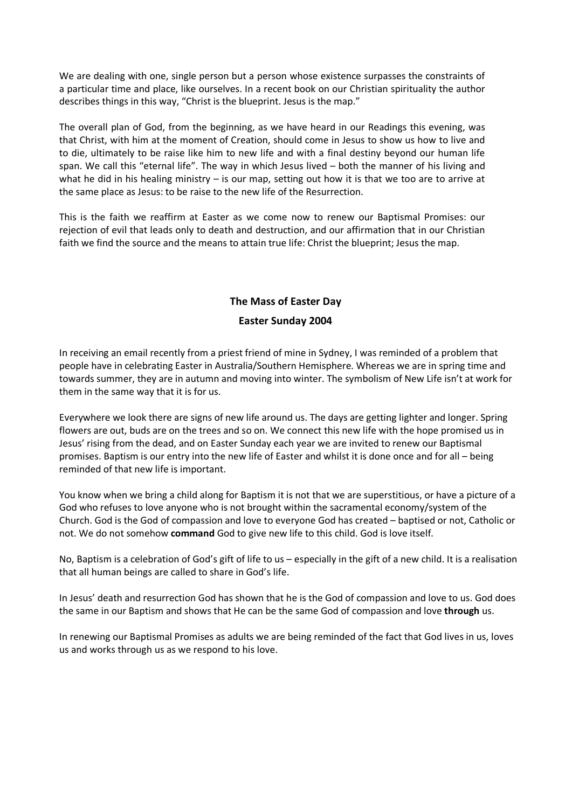We are dealing with one, single person but a person whose existence surpasses the constraints of a particular time and place, like ourselves. In a recent book on our Christian spirituality the author describes things in this way, "Christ is the blueprint. Jesus is the map."

The overall plan of God, from the beginning, as we have heard in our Readings this evening, was that Christ, with him at the moment of Creation, should come in Jesus to show us how to live and to die, ultimately to be raise like him to new life and with a final destiny beyond our human life span. We call this "eternal life". The way in which Jesus lived – both the manner of his living and what he did in his healing ministry – is our map, setting out how it is that we too are to arrive at the same place as Jesus: to be raise to the new life of the Resurrection.

This is the faith we reaffirm at Easter as we come now to renew our Baptismal Promises: our rejection of evil that leads only to death and destruction, and our affirmation that in our Christian faith we find the source and the means to attain true life: Christ the blueprint; Jesus the map.

## **The Mass of Easter Day**

## **Easter Sunday 2004**

In receiving an email recently from a priest friend of mine in Sydney, I was reminded of a problem that people have in celebrating Easter in Australia/Southern Hemisphere. Whereas we are in spring time and towards summer, they are in autumn and moving into winter. The symbolism of New Life isn't at work for them in the same way that it is for us.

Everywhere we look there are signs of new life around us. The days are getting lighter and longer. Spring flowers are out, buds are on the trees and so on. We connect this new life with the hope promised us in Jesus' rising from the dead, and on Easter Sunday each year we are invited to renew our Baptismal promises. Baptism is our entry into the new life of Easter and whilst it is done once and for all – being reminded of that new life is important.

You know when we bring a child along for Baptism it is not that we are superstitious, or have a picture of a God who refuses to love anyone who is not brought within the sacramental economy/system of the Church. God is the God of compassion and love to everyone God has created – baptised or not, Catholic or not. We do not somehow **command** God to give new life to this child. God is love itself.

No, Baptism is a celebration of God's gift of life to us – especially in the gift of a new child. It is a realisation that all human beings are called to share in God's life.

In Jesus' death and resurrection God has shown that he is the God of compassion and love to us. God does the same in our Baptism and shows that He can be the same God of compassion and love **through** us.

In renewing our Baptismal Promises as adults we are being reminded of the fact that God lives in us, loves us and works through us as we respond to his love.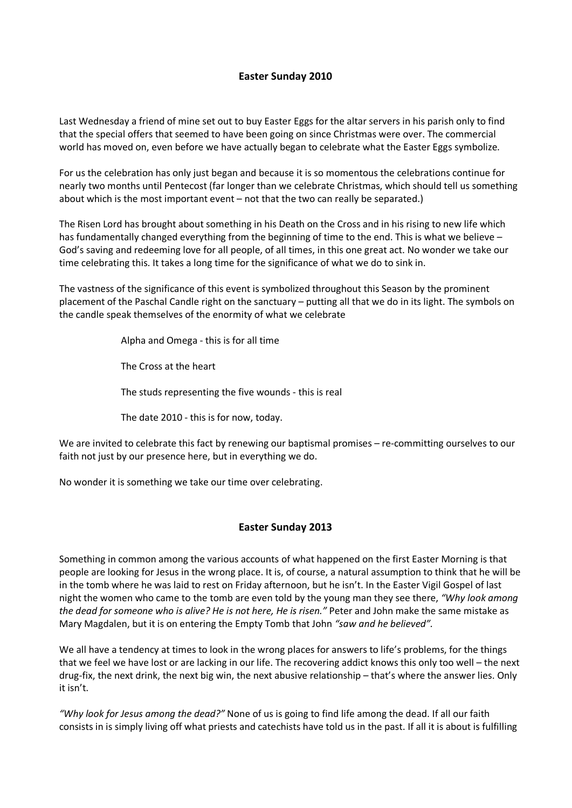## **Easter Sunday 2010**

Last Wednesday a friend of mine set out to buy Easter Eggs for the altar servers in his parish only to find that the special offers that seemed to have been going on since Christmas were over. The commercial world has moved on, even before we have actually began to celebrate what the Easter Eggs symbolize.

For us the celebration has only just began and because it is so momentous the celebrations continue for nearly two months until Pentecost (far longer than we celebrate Christmas, which should tell us something about which is the most important event – not that the two can really be separated.)

The Risen Lord has brought about something in his Death on the Cross and in his rising to new life which has fundamentally changed everything from the beginning of time to the end. This is what we believe -God's saving and redeeming love for all people, of all times, in this one great act. No wonder we take our time celebrating this. It takes a long time for the significance of what we do to sink in.

The vastness of the significance of this event is symbolized throughout this Season by the prominent placement of the Paschal Candle right on the sanctuary – putting all that we do in its light. The symbols on the candle speak themselves of the enormity of what we celebrate

Alpha and Omega - this is for all time

The Cross at the heart

The studs representing the five wounds - this is real

The date 2010 - this is for now, today.

We are invited to celebrate this fact by renewing our baptismal promises – re-committing ourselves to our faith not just by our presence here, but in everything we do.

No wonder it is something we take our time over celebrating.

## **Easter Sunday 2013**

Something in common among the various accounts of what happened on the first Easter Morning is that people are looking for Jesus in the wrong place. It is, of course, a natural assumption to think that he will be in the tomb where he was laid to rest on Friday afternoon, but he isn't. In the Easter Vigil Gospel of last night the women who came to the tomb are even told by the young man they see there, *"Why look among the dead for someone who is alive? He is not here, He is risen."* Peter and John make the same mistake as Mary Magdalen, but it is on entering the Empty Tomb that John *"saw and he believed".*

We all have a tendency at times to look in the wrong places for answers to life's problems, for the things that we feel we have lost or are lacking in our life. The recovering addict knows this only too well – the next drug-fix, the next drink, the next big win, the next abusive relationship – that's where the answer lies. Only it isn't.

*"Why look for Jesus among the dead?"* None of us is going to find life among the dead. If all our faith consists in is simply living off what priests and catechists have told us in the past. If all it is about is fulfilling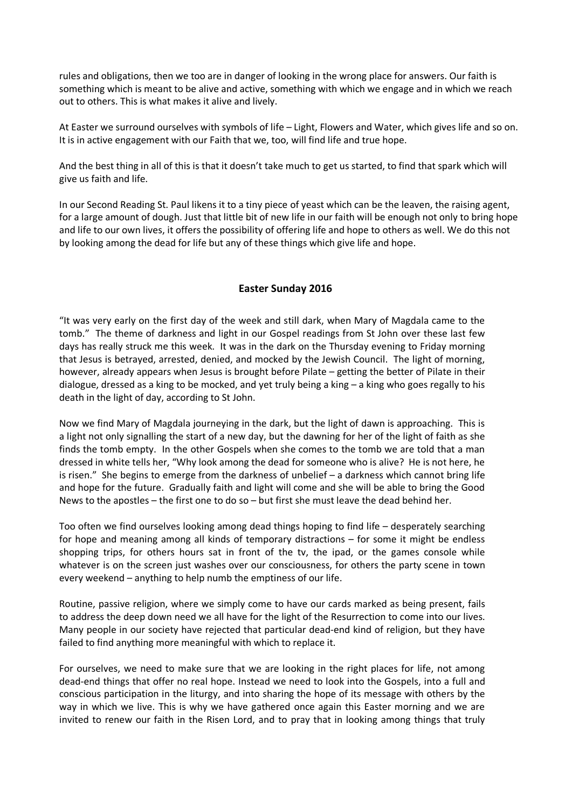rules and obligations, then we too are in danger of looking in the wrong place for answers. Our faith is something which is meant to be alive and active, something with which we engage and in which we reach out to others. This is what makes it alive and lively.

At Easter we surround ourselves with symbols of life – Light, Flowers and Water, which gives life and so on. It is in active engagement with our Faith that we, too, will find life and true hope.

And the best thing in all of this is that it doesn't take much to get us started, to find that spark which will give us faith and life.

In our Second Reading St. Paul likens it to a tiny piece of yeast which can be the leaven, the raising agent, for a large amount of dough. Just that little bit of new life in our faith will be enough not only to bring hope and life to our own lives, it offers the possibility of offering life and hope to others as well. We do this not by looking among the dead for life but any of these things which give life and hope.

#### **Easter Sunday 2016**

"It was very early on the first day of the week and still dark, when Mary of Magdala came to the tomb." The theme of darkness and light in our Gospel readings from St John over these last few days has really struck me this week. It was in the dark on the Thursday evening to Friday morning that Jesus is betrayed, arrested, denied, and mocked by the Jewish Council. The light of morning, however, already appears when Jesus is brought before Pilate – getting the better of Pilate in their dialogue, dressed as a king to be mocked, and yet truly being a king – a king who goes regally to his death in the light of day, according to St John.

Now we find Mary of Magdala journeying in the dark, but the light of dawn is approaching. This is a light not only signalling the start of a new day, but the dawning for her of the light of faith as she finds the tomb empty. In the other Gospels when she comes to the tomb we are told that a man dressed in white tells her, "Why look among the dead for someone who is alive? He is not here, he is risen." She begins to emerge from the darkness of unbelief – a darkness which cannot bring life and hope for the future. Gradually faith and light will come and she will be able to bring the Good News to the apostles – the first one to do so – but first she must leave the dead behind her.

Too often we find ourselves looking among dead things hoping to find life – desperately searching for hope and meaning among all kinds of temporary distractions – for some it might be endless shopping trips, for others hours sat in front of the tv, the ipad, or the games console while whatever is on the screen just washes over our consciousness, for others the party scene in town every weekend – anything to help numb the emptiness of our life.

Routine, passive religion, where we simply come to have our cards marked as being present, fails to address the deep down need we all have for the light of the Resurrection to come into our lives. Many people in our society have rejected that particular dead-end kind of religion, but they have failed to find anything more meaningful with which to replace it.

For ourselves, we need to make sure that we are looking in the right places for life, not among dead-end things that offer no real hope. Instead we need to look into the Gospels, into a full and conscious participation in the liturgy, and into sharing the hope of its message with others by the way in which we live. This is why we have gathered once again this Easter morning and we are invited to renew our faith in the Risen Lord, and to pray that in looking among things that truly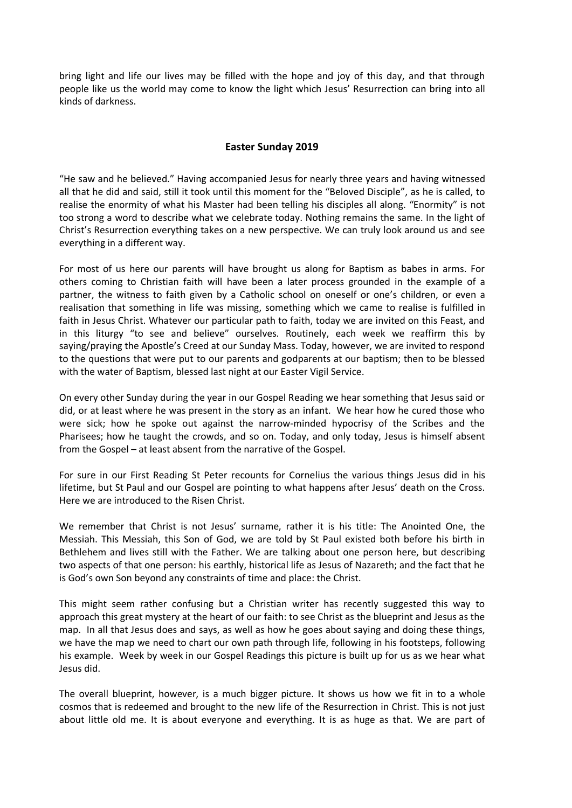bring light and life our lives may be filled with the hope and joy of this day, and that through people like us the world may come to know the light which Jesus' Resurrection can bring into all kinds of darkness.

#### **Easter Sunday 2019**

"He saw and he believed." Having accompanied Jesus for nearly three years and having witnessed all that he did and said, still it took until this moment for the "Beloved Disciple", as he is called, to realise the enormity of what his Master had been telling his disciples all along. "Enormity" is not too strong a word to describe what we celebrate today. Nothing remains the same. In the light of Christ's Resurrection everything takes on a new perspective. We can truly look around us and see everything in a different way.

For most of us here our parents will have brought us along for Baptism as babes in arms. For others coming to Christian faith will have been a later process grounded in the example of a partner, the witness to faith given by a Catholic school on oneself or one's children, or even a realisation that something in life was missing, something which we came to realise is fulfilled in faith in Jesus Christ. Whatever our particular path to faith, today we are invited on this Feast, and in this liturgy "to see and believe" ourselves. Routinely, each week we reaffirm this by saying/praying the Apostle's Creed at our Sunday Mass. Today, however, we are invited to respond to the questions that were put to our parents and godparents at our baptism; then to be blessed with the water of Baptism, blessed last night at our Easter Vigil Service.

On every other Sunday during the year in our Gospel Reading we hear something that Jesus said or did, or at least where he was present in the story as an infant. We hear how he cured those who were sick; how he spoke out against the narrow-minded hypocrisy of the Scribes and the Pharisees; how he taught the crowds, and so on. Today, and only today, Jesus is himself absent from the Gospel – at least absent from the narrative of the Gospel.

For sure in our First Reading St Peter recounts for Cornelius the various things Jesus did in his lifetime, but St Paul and our Gospel are pointing to what happens after Jesus' death on the Cross. Here we are introduced to the Risen Christ.

We remember that Christ is not Jesus' surname, rather it is his title: The Anointed One, the Messiah. This Messiah, this Son of God, we are told by St Paul existed both before his birth in Bethlehem and lives still with the Father. We are talking about one person here, but describing two aspects of that one person: his earthly, historical life as Jesus of Nazareth; and the fact that he is God's own Son beyond any constraints of time and place: the Christ.

This might seem rather confusing but a Christian writer has recently suggested this way to approach this great mystery at the heart of our faith: to see Christ as the blueprint and Jesus as the map. In all that Jesus does and says, as well as how he goes about saying and doing these things, we have the map we need to chart our own path through life, following in his footsteps, following his example. Week by week in our Gospel Readings this picture is built up for us as we hear what Jesus did.

The overall blueprint, however, is a much bigger picture. It shows us how we fit in to a whole cosmos that is redeemed and brought to the new life of the Resurrection in Christ. This is not just about little old me. It is about everyone and everything. It is as huge as that. We are part of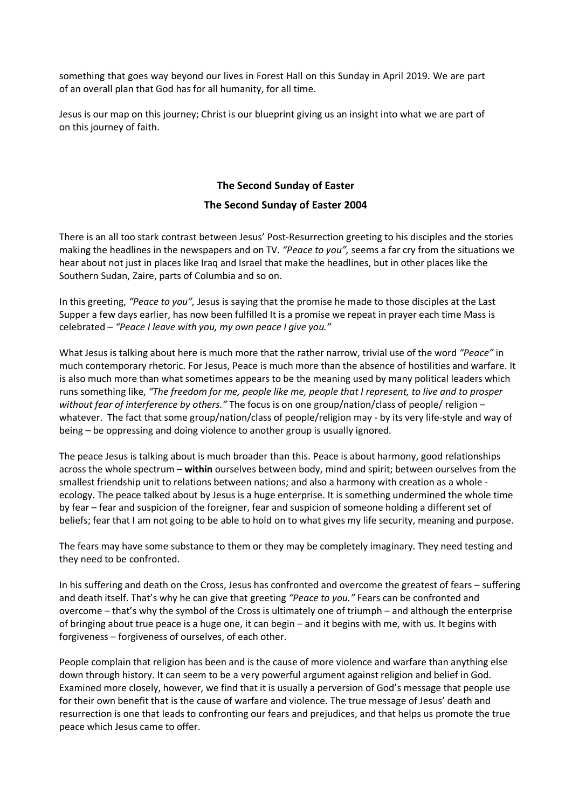something that goes way beyond our lives in Forest Hall on this Sunday in April 2019. We are part of an overall plan that God has for all humanity, for all time.

Jesus is our map on this journey; Christ is our blueprint giving us an insight into what we are part of on this journey of faith.

## **The Second Sunday of Easter The Second Sunday of Easter 2004**

There is an all too stark contrast between Jesus' Post-Resurrection greeting to his disciples and the stories making the headlines in the newspapers and on TV. *"Peace to you",* seems a far cry from the situations we hear about not just in places like Iraq and Israel that make the headlines, but in other places like the Southern Sudan, Zaire, parts of Columbia and so on.

In this greeting, *"Peace to you",* Jesus is saying that the promise he made to those disciples at the Last Supper a few days earlier, has now been fulfilled It is a promise we repeat in prayer each time Mass is celebrated – *"Peace I leave with you, my own peace I give you."*

What Jesus is talking about here is much more that the rather narrow, trivial use of the word *"Peace"* in much contemporary rhetoric. For Jesus, Peace is much more than the absence of hostilities and warfare. It is also much more than what sometimes appears to be the meaning used by many political leaders which runs something like, *"The freedom for me, people like me, people that I represent, to live and to prosper without fear of interference by others."* The focus is on one group/nation/class of people/ religion – whatever. The fact that some group/nation/class of people/religion may - by its very life-style and way of being – be oppressing and doing violence to another group is usually ignored.

The peace Jesus is talking about is much broader than this. Peace is about harmony, good relationships across the whole spectrum – **within** ourselves between body, mind and spirit; between ourselves from the smallest friendship unit to relations between nations; and also a harmony with creation as a whole ecology. The peace talked about by Jesus is a huge enterprise. It is something undermined the whole time by fear – fear and suspicion of the foreigner, fear and suspicion of someone holding a different set of beliefs; fear that I am not going to be able to hold on to what gives my life security, meaning and purpose.

The fears may have some substance to them or they may be completely imaginary. They need testing and they need to be confronted.

In his suffering and death on the Cross, Jesus has confronted and overcome the greatest of fears – suffering and death itself. That's why he can give that greeting *"Peace to you."* Fears can be confronted and overcome – that's why the symbol of the Cross is ultimately one of triumph – and although the enterprise of bringing about true peace is a huge one, it can begin – and it begins with me, with us. It begins with forgiveness – forgiveness of ourselves, of each other.

People complain that religion has been and is the cause of more violence and warfare than anything else down through history. It can seem to be a very powerful argument against religion and belief in God. Examined more closely, however, we find that it is usually a perversion of God's message that people use for their own benefit that is the cause of warfare and violence. The true message of Jesus' death and resurrection is one that leads to confronting our fears and prejudices, and that helps us promote the true peace which Jesus came to offer.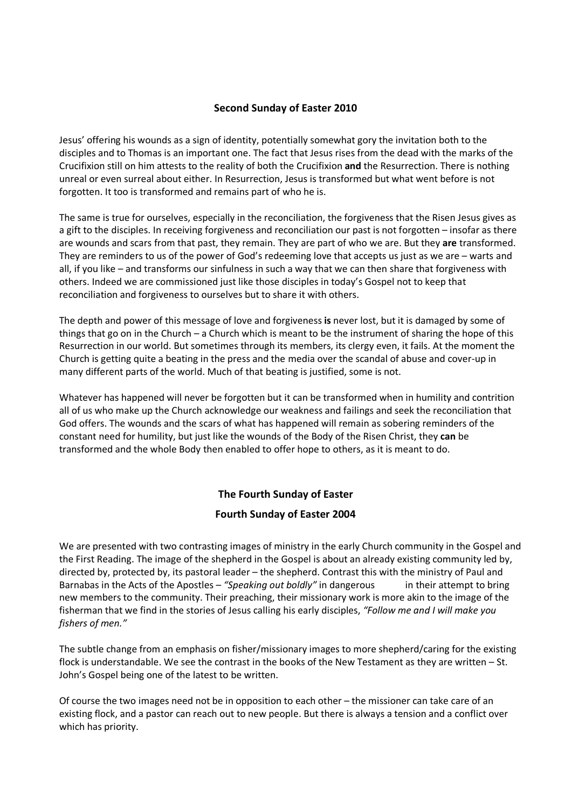## **Second Sunday of Easter 2010**

Jesus' offering his wounds as a sign of identity, potentially somewhat gory the invitation both to the disciples and to Thomas is an important one. The fact that Jesus rises from the dead with the marks of the Crucifixion still on him attests to the reality of both the Crucifixion **and** the Resurrection. There is nothing unreal or even surreal about either. In Resurrection, Jesus is transformed but what went before is not forgotten. It too is transformed and remains part of who he is.

The same is true for ourselves, especially in the reconciliation, the forgiveness that the Risen Jesus gives as a gift to the disciples. In receiving forgiveness and reconciliation our past is not forgotten – insofar as there are wounds and scars from that past, they remain. They are part of who we are. But they **are** transformed. They are reminders to us of the power of God's redeeming love that accepts us just as we are – warts and all, if you like – and transforms our sinfulness in such a way that we can then share that forgiveness with others. Indeed we are commissioned just like those disciples in today's Gospel not to keep that reconciliation and forgiveness to ourselves but to share it with others.

The depth and power of this message of love and forgiveness **is** never lost, but it is damaged by some of things that go on in the Church – a Church which is meant to be the instrument of sharing the hope of this Resurrection in our world. But sometimes through its members, its clergy even, it fails. At the moment the Church is getting quite a beating in the press and the media over the scandal of abuse and cover-up in many different parts of the world. Much of that beating is justified, some is not.

Whatever has happened will never be forgotten but it can be transformed when in humility and contrition all of us who make up the Church acknowledge our weakness and failings and seek the reconciliation that God offers. The wounds and the scars of what has happened will remain as sobering reminders of the constant need for humility, but just like the wounds of the Body of the Risen Christ, they **can** be transformed and the whole Body then enabled to offer hope to others, as it is meant to do.

## **The Fourth Sunday of Easter**

## **Fourth Sunday of Easter 2004**

We are presented with two contrasting images of ministry in the early Church community in the Gospel and the First Reading. The image of the shepherd in the Gospel is about an already existing community led by, directed by, protected by, its pastoral leader – the shepherd. Contrast this with the ministry of Paul and Barnabas in the Acts of the Apostles – *"Speaking out boldly"* in dangerous in their attempt to bring new members to the community. Their preaching, their missionary work is more akin to the image of the fisherman that we find in the stories of Jesus calling his early disciples, *"Follow me and I will make you fishers of men."*

The subtle change from an emphasis on fisher/missionary images to more shepherd/caring for the existing flock is understandable. We see the contrast in the books of the New Testament as they are written – St. John's Gospel being one of the latest to be written.

Of course the two images need not be in opposition to each other – the missioner can take care of an existing flock, and a pastor can reach out to new people. But there is always a tension and a conflict over which has priority.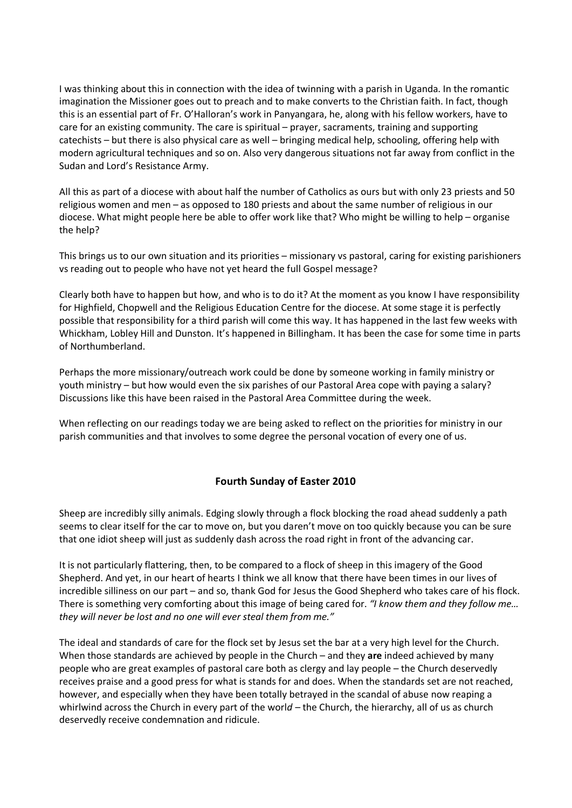I was thinking about this in connection with the idea of twinning with a parish in Uganda. In the romantic imagination the Missioner goes out to preach and to make converts to the Christian faith. In fact, though this is an essential part of Fr. O'Halloran's work in Panyangara, he, along with his fellow workers, have to care for an existing community. The care is spiritual – prayer, sacraments, training and supporting catechists – but there is also physical care as well – bringing medical help, schooling, offering help with modern agricultural techniques and so on. Also very dangerous situations not far away from conflict in the Sudan and Lord's Resistance Army.

All this as part of a diocese with about half the number of Catholics as ours but with only 23 priests and 50 religious women and men – as opposed to 180 priests and about the same number of religious in our diocese. What might people here be able to offer work like that? Who might be willing to help – organise the help?

This brings us to our own situation and its priorities – missionary vs pastoral, caring for existing parishioners vs reading out to people who have not yet heard the full Gospel message?

Clearly both have to happen but how, and who is to do it? At the moment as you know I have responsibility for Highfield, Chopwell and the Religious Education Centre for the diocese. At some stage it is perfectly possible that responsibility for a third parish will come this way. It has happened in the last few weeks with Whickham, Lobley Hill and Dunston. It's happened in Billingham. It has been the case for some time in parts of Northumberland.

Perhaps the more missionary/outreach work could be done by someone working in family ministry or youth ministry – but how would even the six parishes of our Pastoral Area cope with paying a salary? Discussions like this have been raised in the Pastoral Area Committee during the week.

When reflecting on our readings today we are being asked to reflect on the priorities for ministry in our parish communities and that involves to some degree the personal vocation of every one of us.

## **Fourth Sunday of Easter 2010**

Sheep are incredibly silly animals. Edging slowly through a flock blocking the road ahead suddenly a path seems to clear itself for the car to move on, but you daren't move on too quickly because you can be sure that one idiot sheep will just as suddenly dash across the road right in front of the advancing car.

It is not particularly flattering, then, to be compared to a flock of sheep in this imagery of the Good Shepherd. And yet, in our heart of hearts I think we all know that there have been times in our lives of incredible silliness on our part – and so, thank God for Jesus the Good Shepherd who takes care of his flock. There is something very comforting about this image of being cared for. *"I know them and they follow me… they will never be lost and no one will ever steal them from me."*

The ideal and standards of care for the flock set by Jesus set the bar at a very high level for the Church. When those standards are achieved by people in the Church – and they **are** indeed achieved by many people who are great examples of pastoral care both as clergy and lay people – the Church deservedly receives praise and a good press for what is stands for and does. When the standards set are not reached, however, and especially when they have been totally betrayed in the scandal of abuse now reaping a whirlwind across the Church in every part of the worl*d –* the Church, the hierarchy, all of us as church deservedly receive condemnation and ridicule.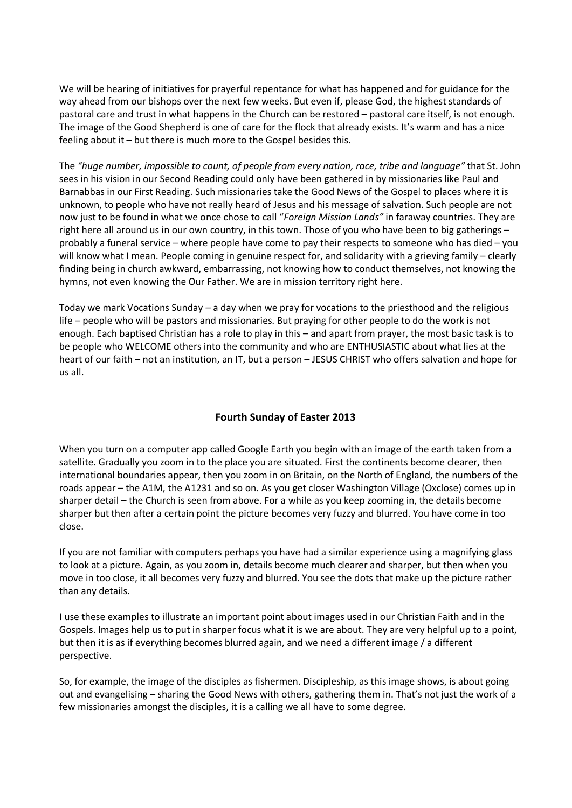We will be hearing of initiatives for prayerful repentance for what has happened and for guidance for the way ahead from our bishops over the next few weeks. But even if, please God, the highest standards of pastoral care and trust in what happens in the Church can be restored – pastoral care itself, is not enough. The image of the Good Shepherd is one of care for the flock that already exists. It's warm and has a nice feeling about it – but there is much more to the Gospel besides this.

The *"huge number, impossible to count, of people from every nation, race, tribe and language"* that St. John sees in his vision in our Second Reading could only have been gathered in by missionaries like Paul and Barnabbas in our First Reading. Such missionaries take the Good News of the Gospel to places where it is unknown, to people who have not really heard of Jesus and his message of salvation. Such people are not now just to be found in what we once chose to call "*Foreign Mission Lands"* in faraway countries. They are right here all around us in our own country, in this town. Those of you who have been to big gatherings – probably a funeral service – where people have come to pay their respects to someone who has died – you will know what I mean. People coming in genuine respect for, and solidarity with a grieving family – clearly finding being in church awkward, embarrassing, not knowing how to conduct themselves, not knowing the hymns, not even knowing the Our Father. We are in mission territory right here.

Today we mark Vocations Sunday – a day when we pray for vocations to the priesthood and the religious life – people who will be pastors and missionaries. But praying for other people to do the work is not enough. Each baptised Christian has a role to play in this – and apart from prayer, the most basic task is to be people who WELCOME others into the community and who are ENTHUSIASTIC about what lies at the heart of our faith – not an institution, an IT, but a person – JESUS CHRIST who offers salvation and hope for us all.

## **Fourth Sunday of Easter 2013**

When you turn on a computer app called Google Earth you begin with an image of the earth taken from a satellite. Gradually you zoom in to the place you are situated. First the continents become clearer, then international boundaries appear, then you zoom in on Britain, on the North of England, the numbers of the roads appear – the A1M, the A1231 and so on. As you get closer Washington Village (Oxclose) comes up in sharper detail – the Church is seen from above. For a while as you keep zooming in, the details become sharper but then after a certain point the picture becomes very fuzzy and blurred. You have come in too close.

If you are not familiar with computers perhaps you have had a similar experience using a magnifying glass to look at a picture. Again, as you zoom in, details become much clearer and sharper, but then when you move in too close, it all becomes very fuzzy and blurred. You see the dots that make up the picture rather than any details.

I use these examples to illustrate an important point about images used in our Christian Faith and in the Gospels. Images help us to put in sharper focus what it is we are about. They are very helpful up to a point, but then it is as if everything becomes blurred again, and we need a different image / a different perspective.

So, for example, the image of the disciples as fishermen. Discipleship, as this image shows, is about going out and evangelising – sharing the Good News with others, gathering them in. That's not just the work of a few missionaries amongst the disciples, it is a calling we all have to some degree.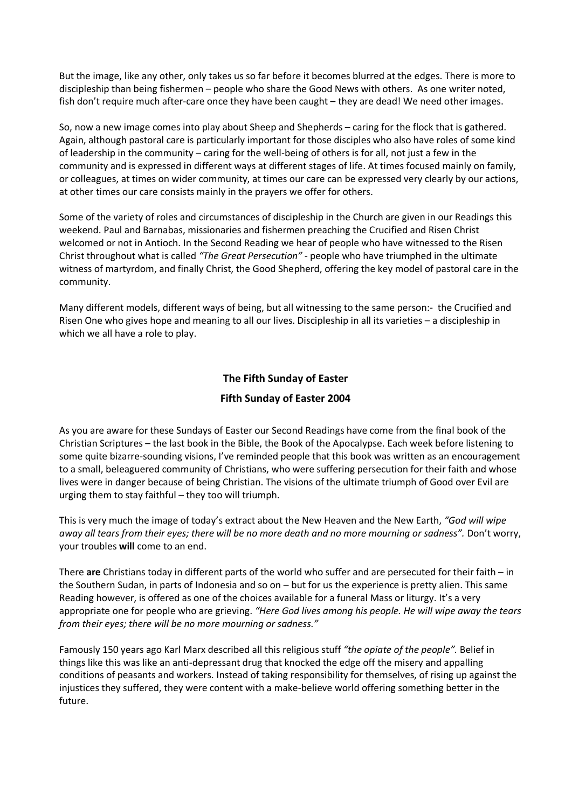But the image, like any other, only takes us so far before it becomes blurred at the edges. There is more to discipleship than being fishermen – people who share the Good News with others. As one writer noted, fish don't require much after-care once they have been caught – they are dead! We need other images.

So, now a new image comes into play about Sheep and Shepherds – caring for the flock that is gathered. Again, although pastoral care is particularly important for those disciples who also have roles of some kind of leadership in the community – caring for the well-being of others is for all, not just a few in the community and is expressed in different ways at different stages of life. At times focused mainly on family, or colleagues, at times on wider community, at times our care can be expressed very clearly by our actions, at other times our care consists mainly in the prayers we offer for others.

Some of the variety of roles and circumstances of discipleship in the Church are given in our Readings this weekend. Paul and Barnabas, missionaries and fishermen preaching the Crucified and Risen Christ welcomed or not in Antioch. In the Second Reading we hear of people who have witnessed to the Risen Christ throughout what is called *"The Great Persecution" -* people who have triumphed in the ultimate witness of martyrdom, and finally Christ, the Good Shepherd, offering the key model of pastoral care in the community.

Many different models, different ways of being, but all witnessing to the same person:- the Crucified and Risen One who gives hope and meaning to all our lives. Discipleship in all its varieties – a discipleship in which we all have a role to play.

## **The Fifth Sunday of Easter**

## **Fifth Sunday of Easter 2004**

As you are aware for these Sundays of Easter our Second Readings have come from the final book of the Christian Scriptures – the last book in the Bible, the Book of the Apocalypse. Each week before listening to some quite bizarre-sounding visions, I've reminded people that this book was written as an encouragement to a small, beleaguered community of Christians, who were suffering persecution for their faith and whose lives were in danger because of being Christian. The visions of the ultimate triumph of Good over Evil are urging them to stay faithful – they too will triumph.

This is very much the image of today's extract about the New Heaven and the New Earth, *"God will wipe away all tears from their eyes; there will be no more death and no more mourning or sadness".* Don't worry, your troubles **will** come to an end.

There **are** Christians today in different parts of the world who suffer and are persecuted for their faith – in the Southern Sudan, in parts of Indonesia and so on – but for us the experience is pretty alien. This same Reading however, is offered as one of the choices available for a funeral Mass or liturgy. It's a very appropriate one for people who are grieving. *"Here God lives among his people. He will wipe away the tears from their eyes; there will be no more mourning or sadness."*

Famously 150 years ago Karl Marx described all this religious stuff *"the opiate of the people".* Belief in things like this was like an anti-depressant drug that knocked the edge off the misery and appalling conditions of peasants and workers. Instead of taking responsibility for themselves, of rising up against the injustices they suffered, they were content with a make-believe world offering something better in the future.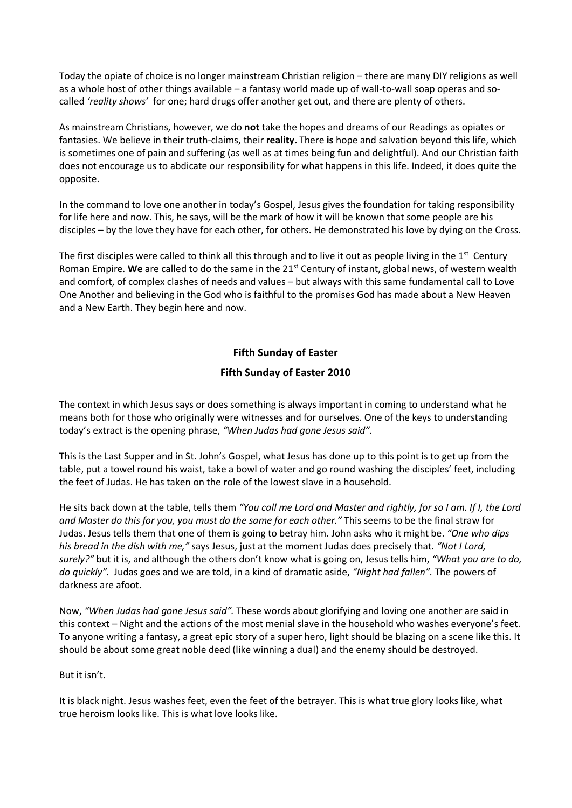Today the opiate of choice is no longer mainstream Christian religion – there are many DIY religions as well as a whole host of other things available – a fantasy world made up of wall-to-wall soap operas and socalled *'reality shows'* for one; hard drugs offer another get out, and there are plenty of others.

As mainstream Christians, however, we do **not** take the hopes and dreams of our Readings as opiates or fantasies. We believe in their truth-claims, their **reality.** There **is** hope and salvation beyond this life, which is sometimes one of pain and suffering (as well as at times being fun and delightful). And our Christian faith does not encourage us to abdicate our responsibility for what happens in this life. Indeed, it does quite the opposite.

In the command to love one another in today's Gospel, Jesus gives the foundation for taking responsibility for life here and now. This, he says, will be the mark of how it will be known that some people are his disciples – by the love they have for each other, for others. He demonstrated his love by dying on the Cross.

The first disciples were called to think all this through and to live it out as people living in the  $1<sup>st</sup>$  Century Roman Empire. **We** are called to do the same in the 21st Century of instant, global news, of western wealth and comfort, of complex clashes of needs and values – but always with this same fundamental call to Love One Another and believing in the God who is faithful to the promises God has made about a New Heaven and a New Earth. They begin here and now.

## **Fifth Sunday of Easter**

## **Fifth Sunday of Easter 2010**

The context in which Jesus says or does something is always important in coming to understand what he means both for those who originally were witnesses and for ourselves. One of the keys to understanding today's extract is the opening phrase, *"When Judas had gone Jesus said".*

This is the Last Supper and in St. John's Gospel, what Jesus has done up to this point is to get up from the table, put a towel round his waist, take a bowl of water and go round washing the disciples' feet, including the feet of Judas. He has taken on the role of the lowest slave in a household.

He sits back down at the table, tells them *"You call me Lord and Master and rightly, for so I am. If I, the Lord and Master do this for you, you must do the same for each other."* This seems to be the final straw for Judas. Jesus tells them that one of them is going to betray him. John asks who it might be. *"One who dips his bread in the dish with me,"* says Jesus, just at the moment Judas does precisely that. *"Not I Lord, surely?"* but it is, and although the others don't know what is going on, Jesus tells him, *"What you are to do, do quickly".* Judas goes and we are told, in a kind of dramatic aside, *"Night had fallen".* The powers of darkness are afoot.

Now, *"When Judas had gone Jesus said".* These words about glorifying and loving one another are said in this context – Night and the actions of the most menial slave in the household who washes everyone's feet. To anyone writing a fantasy, a great epic story of a super hero, light should be blazing on a scene like this. It should be about some great noble deed (like winning a dual) and the enemy should be destroyed.

#### But it isn't.

It is black night. Jesus washes feet, even the feet of the betrayer. This is what true glory looks like, what true heroism looks like. This is what love looks like.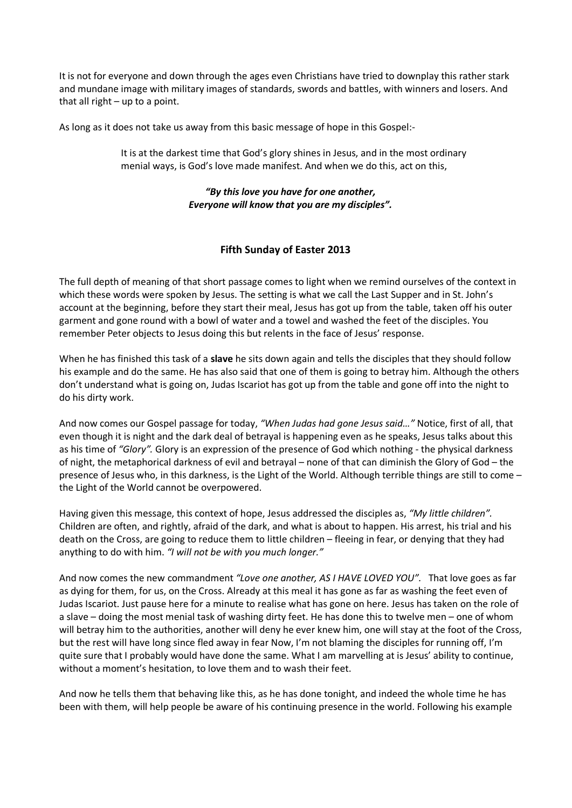It is not for everyone and down through the ages even Christians have tried to downplay this rather stark and mundane image with military images of standards, swords and battles, with winners and losers. And that all right – up to a point.

As long as it does not take us away from this basic message of hope in this Gospel:-

It is at the darkest time that God's glory shines in Jesus, and in the most ordinary menial ways, is God's love made manifest. And when we do this, act on this,

## *"By this love you have for one another, Everyone will know that you are my disciples".*

## **Fifth Sunday of Easter 2013**

The full depth of meaning of that short passage comes to light when we remind ourselves of the context in which these words were spoken by Jesus. The setting is what we call the Last Supper and in St. John's account at the beginning, before they start their meal, Jesus has got up from the table, taken off his outer garment and gone round with a bowl of water and a towel and washed the feet of the disciples. You remember Peter objects to Jesus doing this but relents in the face of Jesus' response.

When he has finished this task of a **slave** he sits down again and tells the disciples that they should follow his example and do the same. He has also said that one of them is going to betray him. Although the others don't understand what is going on, Judas Iscariot has got up from the table and gone off into the night to do his dirty work.

And now comes our Gospel passage for today, *"When Judas had gone Jesus said…"* Notice, first of all, that even though it is night and the dark deal of betrayal is happening even as he speaks, Jesus talks about this as his time of *"Glory".* Glory is an expression of the presence of God which nothing - the physical darkness of night, the metaphorical darkness of evil and betrayal – none of that can diminish the Glory of God – the presence of Jesus who, in this darkness, is the Light of the World. Although terrible things are still to come – the Light of the World cannot be overpowered.

Having given this message, this context of hope, Jesus addressed the disciples as, *"My little children".*  Children are often, and rightly, afraid of the dark, and what is about to happen. His arrest, his trial and his death on the Cross, are going to reduce them to little children – fleeing in fear, or denying that they had anything to do with him. *"I will not be with you much longer."*

And now comes the new commandment *"Love one another, AS I HAVE LOVED YOU".* That love goes as far as dying for them, for us, on the Cross. Already at this meal it has gone as far as washing the feet even of Judas Iscariot. Just pause here for a minute to realise what has gone on here. Jesus has taken on the role of a slave – doing the most menial task of washing dirty feet. He has done this to twelve men – one of whom will betray him to the authorities, another will deny he ever knew him, one will stay at the foot of the Cross, but the rest will have long since fled away in fear Now, I'm not blaming the disciples for running off, I'm quite sure that I probably would have done the same. What I am marvelling at is Jesus' ability to continue, without a moment's hesitation, to love them and to wash their feet.

And now he tells them that behaving like this, as he has done tonight, and indeed the whole time he has been with them, will help people be aware of his continuing presence in the world. Following his example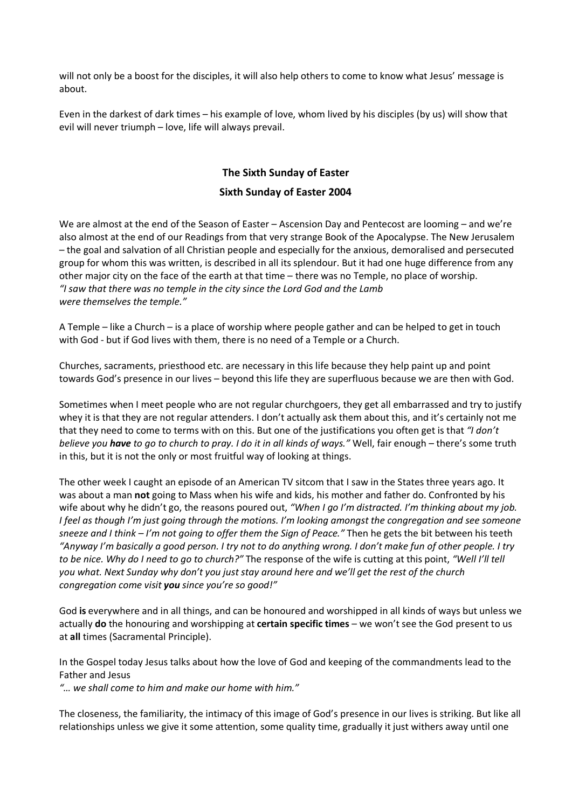will not only be a boost for the disciples, it will also help others to come to know what Jesus' message is about.

Even in the darkest of dark times – his example of love, whom lived by his disciples (by us) will show that evil will never triumph – love, life will always prevail.

# **The Sixth Sunday of Easter**

#### **Sixth Sunday of Easter 2004**

We are almost at the end of the Season of Easter – Ascension Day and Pentecost are looming – and we're also almost at the end of our Readings from that very strange Book of the Apocalypse. The New Jerusalem – the goal and salvation of all Christian people and especially for the anxious, demoralised and persecuted group for whom this was written, is described in all its splendour. But it had one huge difference from any other major city on the face of the earth at that time – there was no Temple, no place of worship. *"I saw that there was no temple in the city since the Lord God and the Lamb were themselves the temple."*

A Temple – like a Church – is a place of worship where people gather and can be helped to get in touch with God - but if God lives with them, there is no need of a Temple or a Church.

Churches, sacraments, priesthood etc. are necessary in this life because they help paint up and point towards God's presence in our lives – beyond this life they are superfluous because we are then with God.

Sometimes when I meet people who are not regular churchgoers, they get all embarrassed and try to justify whey it is that they are not regular attenders. I don't actually ask them about this, and it's certainly not me that they need to come to terms with on this. But one of the justifications you often get is that *"I don't believe you have to go to church to pray. I do it in all kinds of ways."* Well, fair enough – there's some truth in this, but it is not the only or most fruitful way of looking at things.

The other week I caught an episode of an American TV sitcom that I saw in the States three years ago. It was about a man **not** going to Mass when his wife and kids, his mother and father do. Confronted by his wife about why he didn't go, the reasons poured out, *"When I go I'm distracted. I'm thinking about my job. I feel as though I'm just going through the motions. I'm looking amongst the congregation and see someone sneeze and I think – I'm not going to offer them the Sign of Peace."* Then he gets the bit between his teeth *"Anyway I'm basically a good person. I try not to do anything wrong. I don't make fun of other people. I try to be nice. Why do I need to go to church?"* The response of the wife is cutting at this point, *"Well I'll tell you what. Next Sunday why don't you just stay around here and we'll get the rest of the church congregation come visit you since you're so good!"*

God **is** everywhere and in all things, and can be honoured and worshipped in all kinds of ways but unless we actually **do** the honouring and worshipping at **certain specific times** – we won't see the God present to us at **all** times (Sacramental Principle).

In the Gospel today Jesus talks about how the love of God and keeping of the commandments lead to the Father and Jesus

*"… we shall come to him and make our home with him."*

The closeness, the familiarity, the intimacy of this image of God's presence in our lives is striking. But like all relationships unless we give it some attention, some quality time, gradually it just withers away until one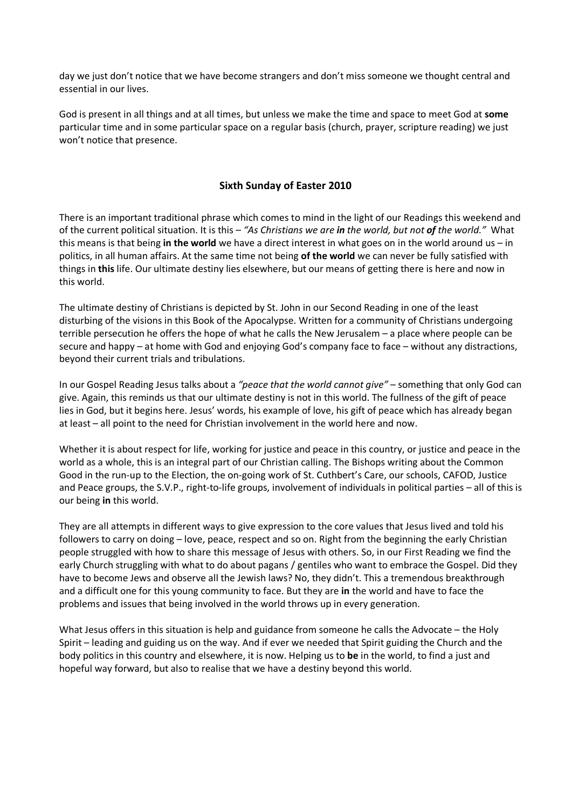day we just don't notice that we have become strangers and don't miss someone we thought central and essential in our lives.

God is present in all things and at all times, but unless we make the time and space to meet God at **some**  particular time and in some particular space on a regular basis (church, prayer, scripture reading) we just won't notice that presence.

## **Sixth Sunday of Easter 2010**

There is an important traditional phrase which comes to mind in the light of our Readings this weekend and of the current political situation. It is this – *"As Christians we are in the world, but not of the world."* What this means is that being **in the world** we have a direct interest in what goes on in the world around us – in politics, in all human affairs. At the same time not being **of the world** we can never be fully satisfied with things in **this** life. Our ultimate destiny lies elsewhere, but our means of getting there is here and now in this world.

The ultimate destiny of Christians is depicted by St. John in our Second Reading in one of the least disturbing of the visions in this Book of the Apocalypse. Written for a community of Christians undergoing terrible persecution he offers the hope of what he calls the New Jerusalem – a place where people can be secure and happy – at home with God and enjoying God's company face to face – without any distractions, beyond their current trials and tribulations.

In our Gospel Reading Jesus talks about a *"peace that the world cannot give"* – something that only God can give. Again, this reminds us that our ultimate destiny is not in this world. The fullness of the gift of peace lies in God, but it begins here. Jesus' words, his example of love, his gift of peace which has already began at least – all point to the need for Christian involvement in the world here and now.

Whether it is about respect for life, working for justice and peace in this country, or justice and peace in the world as a whole, this is an integral part of our Christian calling. The Bishops writing about the Common Good in the run-up to the Election, the on-going work of St. Cuthbert's Care, our schools, CAFOD, Justice and Peace groups, the S.V.P., right-to-life groups, involvement of individuals in political parties – all of this is our being **in** this world.

They are all attempts in different ways to give expression to the core values that Jesus lived and told his followers to carry on doing – love, peace, respect and so on. Right from the beginning the early Christian people struggled with how to share this message of Jesus with others. So, in our First Reading we find the early Church struggling with what to do about pagans / gentiles who want to embrace the Gospel. Did they have to become Jews and observe all the Jewish laws? No, they didn't. This a tremendous breakthrough and a difficult one for this young community to face. But they are **in** the world and have to face the problems and issues that being involved in the world throws up in every generation.

What Jesus offers in this situation is help and guidance from someone he calls the Advocate – the Holy Spirit – leading and guiding us on the way. And if ever we needed that Spirit guiding the Church and the body politics in this country and elsewhere, it is now. Helping us to **be** in the world, to find a just and hopeful way forward, but also to realise that we have a destiny beyond this world.